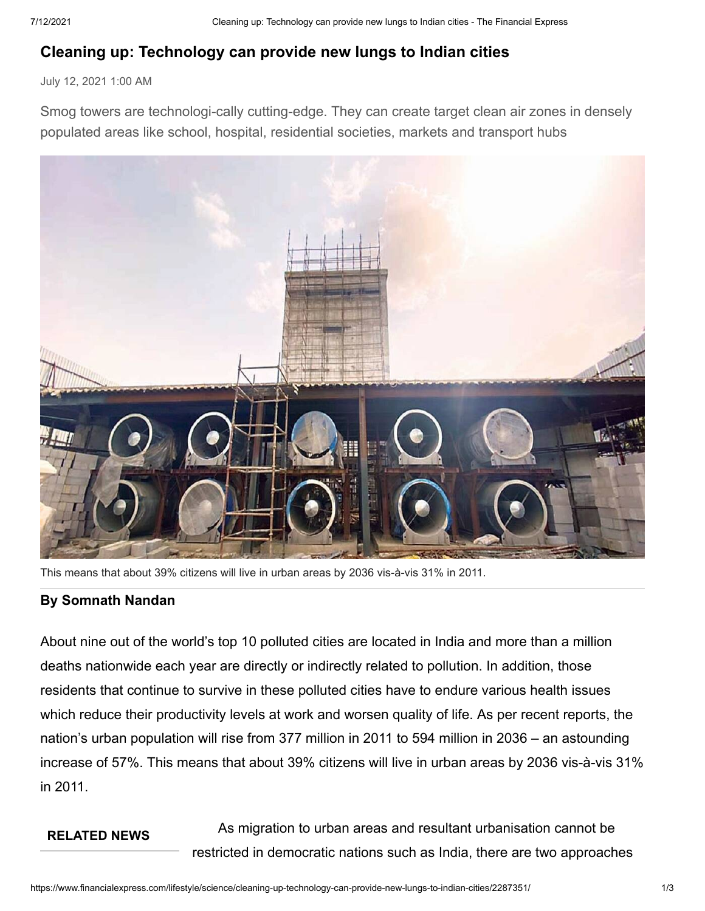## **Cleaning up: Technology can provide new lungs to Indian cities**

July 12, 2021 1:00 AM

Smog towers are technologi-cally cutting-edge. They can create target clean air zones in densely populated areas like school, hospital, residential societies, markets and transport hubs



This means that about 39% citizens will live in urban areas by 2036 vis-à-vis 31% in 2011.

## **By Somnath Nandan**

About nine out of the world's top 10 polluted cities are located in India and more than a million deaths nationwide each year are directly or indirectly related to pollution. In addition, those residents that continue to survive in these polluted cities have to endure various health issues which reduce their productivity levels at work and worsen quality of life. As per recent reports, the nation's urban population will rise from 377 million in 2011 to 594 million in 2036 – an astounding increase of 57%. This means that about 39% citizens will live in urban areas by 2036 vis-à-vis 31% in 2011.

## **RELATED NEWS** As migration to urban areas and resultant urbanisation cannot be restricted in democratic nations such as India, there are two approaches